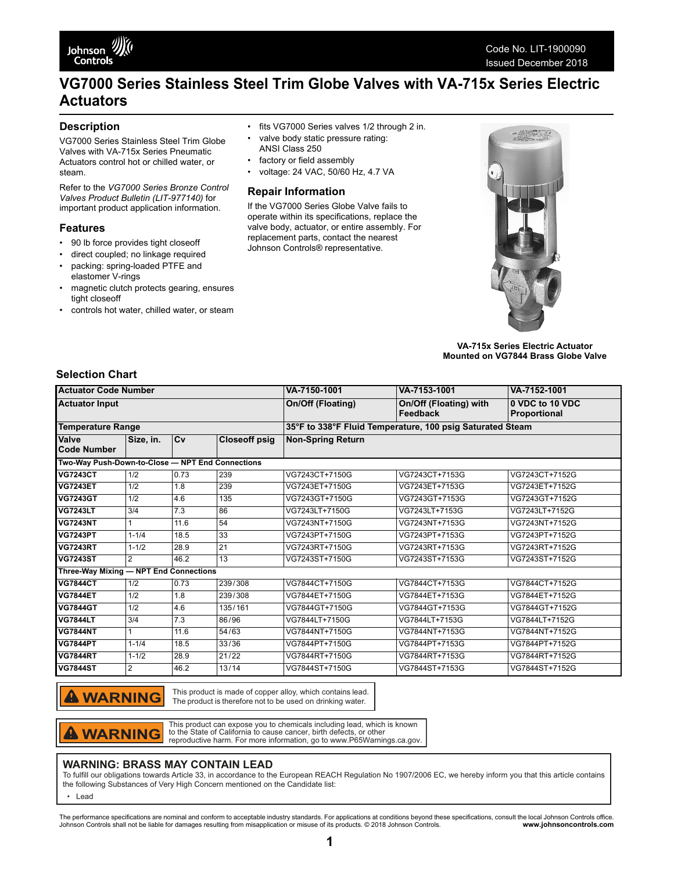# **VG7000 Series Stainless Steel Trim Globe Valves with VA-715x Series Electric Actuators**

### **Description**

VG7000 Series Stainless Steel Trim Globe Valves with VA-715x Series Pneumatic Actuators control hot or chilled water, or steam.

Refer to the *VG7000 Series Bronze Control Valves Product Bulletin (LIT-977140)* for important product application information.

#### **Features**

- 90 lb force provides tight closeoff
- direct coupled; no linkage required
- packing: spring-loaded PTFE and elastomer V-rings
- magnetic clutch protects gearing, ensures tight closeoff
- controls hot water, chilled water, or steam
- fits VG7000 Series valves 1/2 through 2 in.
- valve body static pressure rating:
- ANSI Class 250
- factory or field assembly
- voltage: 24 VAC, 50/60 Hz, 4.7 VA

#### **Repair Information**

If the VG7000 Series Globe Valve fails to operate within its specifications, replace the valve body, actuator, or entire assembly. For replacement parts, contact the nearest Johnson Controls® representative.



**VA-715x Series Electric Actuator Mounted on VG7844 Brass Globe Valve**

## **Selection Chart**

| <b>Actuator Code Number</b><br><b>Actuator Input</b> |                |      |                      | VA-7150-1001                                              | VA-7153-1001                       | VA-7152-1001                    |
|------------------------------------------------------|----------------|------|----------------------|-----------------------------------------------------------|------------------------------------|---------------------------------|
|                                                      |                |      |                      | On/Off (Floating)                                         | On/Off (Floating) with<br>Feedback | 0 VDC to 10 VDC<br>Proportional |
| <b>Temperature Range</b>                             |                |      |                      | 35°F to 338°F Fluid Temperature, 100 psig Saturated Steam |                                    |                                 |
| <b>Valve</b><br>Code Number                          | Size, in.      | Cv   | <b>Closeoff psig</b> | <b>Non-Spring Return</b>                                  |                                    |                                 |
| Two-Way Push-Down-to-Close - NPT End Connections     |                |      |                      |                                                           |                                    |                                 |
| <b>VG7243CT</b>                                      | 1/2            | 0.73 | 239                  | VG7243CT+7150G                                            | VG7243CT+7153G                     | VG7243CT+7152G                  |
| <b>VG7243ET</b>                                      | 1/2            | 1.8  | 239                  | VG7243ET+7150G                                            | VG7243ET+7153G                     | VG7243ET+7152G                  |
| <b>VG7243GT</b>                                      | 1/2            | 4.6  | 135                  | VG7243GT+7150G                                            | VG7243GT+7153G                     | VG7243GT+7152G                  |
| <b>VG7243LT</b>                                      | 3/4            | 7.3  | 86                   | VG7243LT+7150G                                            | VG7243LT+7153G                     | VG7243LT+7152G                  |
| <b>VG7243NT</b>                                      |                | 11.6 | 54                   | VG7243NT+7150G                                            | VG7243NT+7153G                     | VG7243NT+7152G                  |
| <b>VG7243PT</b>                                      | $1 - 1/4$      | 18.5 | 33                   | VG7243PT+7150G                                            | VG7243PT+7153G                     | VG7243PT+7152G                  |
| <b>VG7243RT</b>                                      | $1 - 1/2$      | 28.9 | 21                   | VG7243RT+7150G                                            | VG7243RT+7153G                     | VG7243RT+7152G                  |
| <b>VG7243ST</b>                                      | $\overline{2}$ | 46.2 | 13                   | VG7243ST+7150G                                            | VG7243ST+7153G                     | VG7243ST+7152G                  |
| Three-Way Mixing - NPT End Connections               |                |      |                      |                                                           |                                    |                                 |
| <b>VG7844CT</b>                                      | 1/2            | 0.73 | 239/308              | VG7844CT+7150G                                            | VG7844CT+7153G                     | VG7844CT+7152G                  |
| <b>VG7844ET</b>                                      | 1/2            | 1.8  | 239/308              | VG7844ET+7150G                                            | VG7844ET+7153G                     | VG7844ET+7152G                  |
| <b>VG7844GT</b>                                      | 1/2            | 4.6  | 135/161              | VG7844GT+7150G                                            | VG7844GT+7153G                     | VG7844GT+7152G                  |
| <b>VG7844LT</b>                                      | 3/4            | 7.3  | 86/96                | VG7844LT+7150G                                            | VG7844LT+7153G                     | VG7844LT+7152G                  |
| <b>VG7844NT</b>                                      |                | 11.6 | 54/63                | VG7844NT+7150G                                            | VG7844NT+7153G                     | VG7844NT+7152G                  |
| <b>VG7844PT</b>                                      | $1 - 1/4$      | 18.5 | 33/36                | VG7844PT+7150G                                            | VG7844PT+7153G                     | VG7844PT+7152G                  |
| <b>VG7844RT</b>                                      | $1 - 1/2$      | 28.9 | 21/22                | VG7844RT+7150G                                            | VG7844RT+7153G                     | VG7844RT+7152G                  |
| <b>VG7844ST</b>                                      | 2              | 46.2 | 13/14                | VG7844ST+7150G                                            | VG7844ST+7153G                     | VG7844ST+7152G                  |
|                                                      |                |      |                      |                                                           |                                    |                                 |

**A WARNING** 

This product is made of copper alloy, which contains lead. The product is therefore not to be used on drinking water.

**WARNING** 

This product can expose you to chemicals including lead, which is known to the State of California to cause cancer, birth defects, or other reproductive harm. For more information, go to www.P65Warnings.ca.gov.

#### **WARNING: BRASS MAY CONTAIN LEAD**

To fulfill our obligations towards Article 33, in accordance to the European REACH Regulation No 1907/2006 EC, we hereby inform you that this article contains the following Substances of Very High Concern mentioned on the Candidate list:

• Lead

The performance specifications are nominal and conform to acceptable industry standards. For applications at conditions beyond these specifications, consult the local Johnson Controls office.<br>Johnson Controls .com www.john